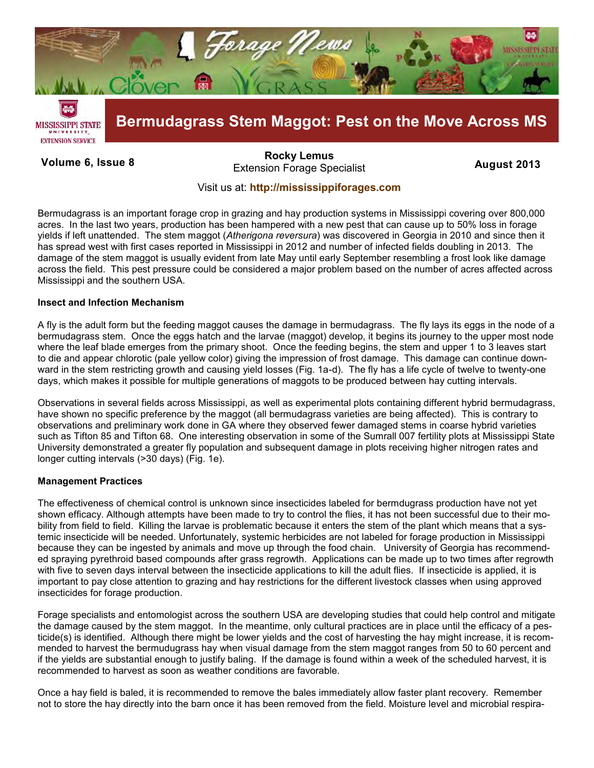

**Volume 6, Issue 8 August 2013**  Extension Forage Specialist **[Rocky Lemus](mailto:RLemus@ext.msstate.edu?subject=Forage%20Newsletter)**

# Visit us at: **<http://mississippiforages.com>**

Bermudagrass is an important forage crop in grazing and hay production systems in Mississippi covering over 800,000 acres. In the last two years, production has been hampered with a new pest that can cause up to 50% loss in forage yields if left unattended. The stem maggot (*Atherigona reversura*) was discovered in Georgia in 2010 and since then it has spread west with first cases reported in Mississippi in 2012 and number of infected fields doubling in 2013. The damage of the stem maggot is usually evident from late May until early September resembling a frost look like damage across the field. This pest pressure could be considered a major problem based on the number of acres affected across Mississippi and the southern USA.

## **Insect and Infection Mechanism**

A fly is the adult form but the feeding maggot causes the damage in bermudagrass. The fly lays its eggs in the node of a bermudagrass stem. Once the eggs hatch and the larvae (maggot) develop, it begins its journey to the upper most node where the leaf blade emerges from the primary shoot. Once the feeding begins, the stem and upper 1 to 3 leaves start to die and appear chlorotic (pale yellow color) giving the impression of frost damage. This damage can continue downward in the stem restricting growth and causing yield losses (Fig. 1a-d). The fly has a life cycle of twelve to twenty-one days, which makes it possible for multiple generations of maggots to be produced between hay cutting intervals.

Observations in several fields across Mississippi, as well as experimental plots containing different hybrid bermudagrass, have shown no specific preference by the maggot (all bermudagrass varieties are being affected). This is contrary to observations and preliminary work done in GA where they observed fewer damaged stems in coarse hybrid varieties such as Tifton 85 and Tifton 68. One interesting observation in some of the Sumrall 007 fertility plots at Mississippi State University demonstrated a greater fly population and subsequent damage in plots receiving higher nitrogen rates and longer cutting intervals (>30 days) (Fig. 1e).

## **Management Practices**

The effectiveness of chemical control is unknown since insecticides labeled for bermdugrass production have not yet shown efficacy. Although attempts have been made to try to control the flies, it has not been successful due to their mobility from field to field. Killing the larvae is problematic because it enters the stem of the plant which means that a systemic insecticide will be needed. Unfortunately, systemic herbicides are not labeled for forage production in Mississippi because they can be ingested by animals and move up through the food chain. University of Georgia has recommended spraying pyrethroid based compounds after grass regrowth. Applications can be made up to two times after regrowth with five to seven days interval between the insecticide applications to kill the adult flies. If insecticide is applied, it is important to pay close attention to grazing and hay restrictions for the different livestock classes when using approved insecticides for forage production.

Forage specialists and entomologist across the southern USA are developing studies that could help control and mitigate the damage caused by the stem maggot. In the meantime, only cultural practices are in place until the efficacy of a pesticide(s) is identified. Although there might be lower yields and the cost of harvesting the hay might increase, it is recommended to harvest the bermudugrass hay when visual damage from the stem maggot ranges from 50 to 60 percent and if the yields are substantial enough to justify baling. If the damage is found within a week of the scheduled harvest, it is recommended to harvest as soon as weather conditions are favorable.

Once a hay field is baled, it is recommended to remove the bales immediately allow faster plant recovery. Remember not to store the hay directly into the barn once it has been removed from the field. Moisture level and microbial respira